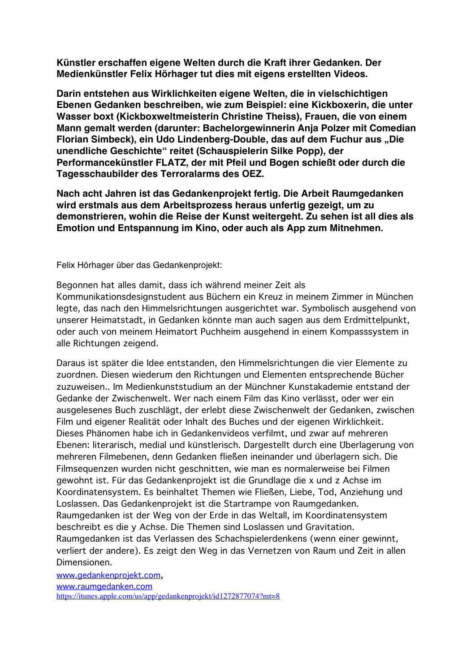**Künstler erschaffen eigene Welten durch die Kraft ihrer Gedanken. Der Medienkünstler Felix Hörhager tut dies mit eigens erstellten Videos.**

**Darin entstehen aus Wirklichkeiten eigene Welten, die in vielschichtigen Ebenen Gedanken beschreiben, wie zum Beispiel: eine Kickboxerin, die unter Wasser boxt (Kickboxweltmeisterin Christine Theiss), Frauen, die von einem Mann gemalt werden (darunter: Bachelorgewinnerin Anja Polzer mit Comedian Florian Simbeck), ein Udo Lindenberg-Double, das auf dem Fuchur aus "Die unendliche Geschichte" reitet (Schauspielerin Silke Popp), der Performancekünstler FLATZ, der mit Pfeil und Bogen schießt oder durch die Tagesschaubilder des Terroralarms des OEZ.** 

**Nach acht Jahren ist das Gedankenprojekt fertig. Die Arbeit Raumgedanken wird erstmals aus dem Arbeitsprozess heraus unfertig gezeigt, um zu demonstrieren, wohin die Reise der Kunst weitergeht. Zu sehen ist all dies als Emotion und Entspannung im Kino, oder auch als App zum Mitnehmen.**

Felix Hörhager über das Gedankenprojekt:

Begonnen hat alles damit, dass ich während meiner Zeit als Kommunikationsdesignstudent aus Büchern ein Kreuz in meinem Zimmer in München legte, das nach den Himmelsrichtungen ausgerichtet war. Symbolisch ausgehend von unserer Heimatstadt, in Gedanken könnte man auch sagen aus dem Erdmittelpunkt, oder auch von meinem Heimatort Puchheim ausgehend in einem Kompasssystem in alle Richtungen zeigend.

Daraus ist später die Idee entstanden, den Himmelsrichtungen die vier Elemente zu zuordnen. Diesen wiederum den Richtungen und Elementen entsprechende Bücher zuzuweisen.. Im Medienkunststudium an der Münchner Kunstakademie entstand der Gedanke der Zwischenwelt. Wer nach einem Film das Kino verlässt, oder wer ein ausgelesenes Buch zuschlägt, der erlebt diese Zwischenwelt der Gedanken, zwischen Film und eigener Realität oder Inhalt des Buches und der eigenen Wirklichkeit. Dieses Phänomen habe ich in Gedankenvideos verfilmt, und zwar auf mehreren Ebenen: literarisch, medial und künstlerisch. Dargestellt durch eine Überlagerung von mehreren Filmebenen, denn Gedanken fließen ineinander und überlagern sich. Die Filmsequenzen wurden nicht geschnitten, wie man es normalerweise bei Filmen gewohnt ist. Für das Gedankenprojekt ist die Grundlage die x und z Achse im Koordinatensystem. Es beinhaltet Themen wie Fließen, Liebe, Tod, Anziehung und Loslassen. Das Gedankenprojekt ist die Startrampe von Raumgedanken. Raumgedanken ist der Weg von der Erde in das Weltall, im Koordinatensystem beschreibt es die y Achse. Die Themen sind Loslassen und Gravitation. Raumgedanken ist das Verlassen des Schachspielerdenkens (wenn einer gewinnt, verliert der andere). Es zeigt den Weg in das Vernetzen von Raum und Zeit in allen Dimensionen.

www.gedankenprojekt.com, www.raumgedanken.com https://itunes.apple.com/us/app/gedankenprojekt/id1272877074?mt=8